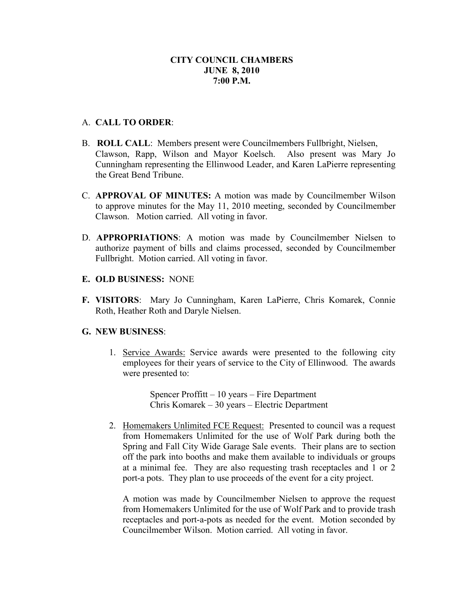#### A. **CALL TO ORDER**:

- B. **ROLL CALL**: Members present were Councilmembers Fullbright, Nielsen, Clawson, Rapp, Wilson and Mayor Koelsch. Also present was Mary Jo Cunningham representing the Ellinwood Leader, and Karen LaPierre representing the Great Bend Tribune.
- C. **APPROVAL OF MINUTES:** A motion was made by Councilmember Wilson to approve minutes for the May 11, 2010 meeting, seconded by Councilmember Clawson. Motion carried. All voting in favor.
- D. **APPROPRIATIONS**: A motion was made by Councilmember Nielsen to authorize payment of bills and claims processed, seconded by Councilmember Fullbright. Motion carried. All voting in favor.
- **E. OLD BUSINESS:** NONE
- **F. VISITORS**: Mary Jo Cunningham, Karen LaPierre, Chris Komarek, Connie Roth, Heather Roth and Daryle Nielsen.

#### **G. NEW BUSINESS**:

1. Service Awards: Service awards were presented to the following city employees for their years of service to the City of Ellinwood. The awards were presented to:

> Spencer Proffitt – 10 years – Fire Department Chris Komarek – 30 years – Electric Department

2. Homemakers Unlimited FCE Request: Presented to council was a request from Homemakers Unlimited for the use of Wolf Park during both the Spring and Fall City Wide Garage Sale events. Their plans are to section off the park into booths and make them available to individuals or groups at a minimal fee. They are also requesting trash receptacles and 1 or 2 port-a pots. They plan to use proceeds of the event for a city project.

A motion was made by Councilmember Nielsen to approve the request from Homemakers Unlimited for the use of Wolf Park and to provide trash receptacles and port-a-pots as needed for the event. Motion seconded by Councilmember Wilson. Motion carried. All voting in favor.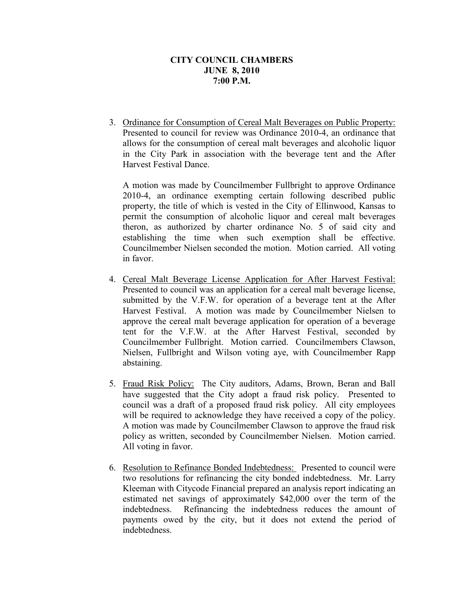3. Ordinance for Consumption of Cereal Malt Beverages on Public Property: Presented to council for review was Ordinance 2010-4, an ordinance that allows for the consumption of cereal malt beverages and alcoholic liquor in the City Park in association with the beverage tent and the After Harvest Festival Dance.

A motion was made by Councilmember Fullbright to approve Ordinance 2010-4, an ordinance exempting certain following described public property, the title of which is vested in the City of Ellinwood, Kansas to permit the consumption of alcoholic liquor and cereal malt beverages theron, as authorized by charter ordinance No. 5 of said city and establishing the time when such exemption shall be effective. Councilmember Nielsen seconded the motion. Motion carried. All voting in favor.

- 4. Cereal Malt Beverage License Application for After Harvest Festival: Presented to council was an application for a cereal malt beverage license, submitted by the V.F.W. for operation of a beverage tent at the After Harvest Festival. A motion was made by Councilmember Nielsen to approve the cereal malt beverage application for operation of a beverage tent for the V.F.W. at the After Harvest Festival, seconded by Councilmember Fullbright. Motion carried. Councilmembers Clawson, Nielsen, Fullbright and Wilson voting aye, with Councilmember Rapp abstaining.
- 5. Fraud Risk Policy: The City auditors, Adams, Brown, Beran and Ball have suggested that the City adopt a fraud risk policy. Presented to council was a draft of a proposed fraud risk policy. All city employees will be required to acknowledge they have received a copy of the policy. A motion was made by Councilmember Clawson to approve the fraud risk policy as written, seconded by Councilmember Nielsen. Motion carried. All voting in favor.
- 6. Resolution to Refinance Bonded Indebtedness: Presented to council were two resolutions for refinancing the city bonded indebtedness. Mr. Larry Kleeman with Citycode Financial prepared an analysis report indicating an estimated net savings of approximately \$42,000 over the term of the indebtedness. Refinancing the indebtedness reduces the amount of payments owed by the city, but it does not extend the period of indebtedness.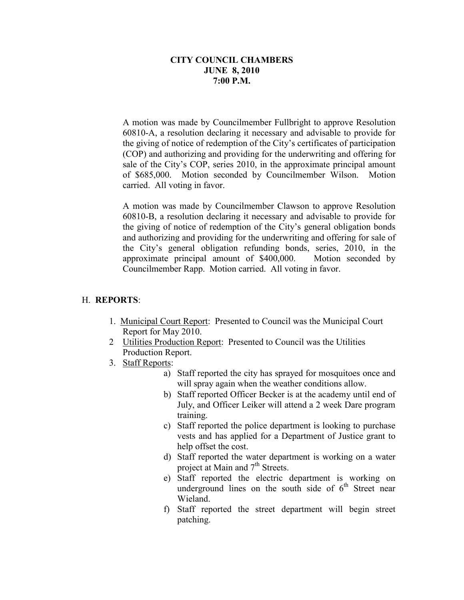A motion was made by Councilmember Fullbright to approve Resolution 60810-A, a resolution declaring it necessary and advisable to provide for the giving of notice of redemption of the City's certificates of participation (COP) and authorizing and providing for the underwriting and offering for sale of the City's COP, series 2010, in the approximate principal amount of \$685,000. Motion seconded by Councilmember Wilson. Motion carried. All voting in favor.

A motion was made by Councilmember Clawson to approve Resolution 60810-B, a resolution declaring it necessary and advisable to provide for the giving of notice of redemption of the City's general obligation bonds and authorizing and providing for the underwriting and offering for sale of the City's general obligation refunding bonds, series, 2010, in the approximate principal amount of \$400,000. Motion seconded by Councilmember Rapp. Motion carried. All voting in favor.

# H. **REPORTS**:

- 1. Municipal Court Report: Presented to Council was the Municipal Court Report for May 2010.
- 2 Utilities Production Report: Presented to Council was the Utilities Production Report.
- 3. Staff Reports:
	- a) Staff reported the city has sprayed for mosquitoes once and will spray again when the weather conditions allow.
	- b) Staff reported Officer Becker is at the academy until end of July, and Officer Leiker will attend a 2 week Dare program training.
	- c) Staff reported the police department is looking to purchase vests and has applied for a Department of Justice grant to help offset the cost.
	- d) Staff reported the water department is working on a water project at Main and 7<sup>th</sup> Streets.
	- e) Staff reported the electric department is working on underground lines on the south side of  $6<sup>th</sup>$  Street near Wieland.
	- f) Staff reported the street department will begin street patching.